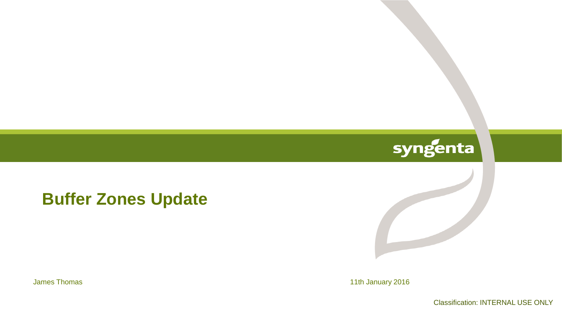# syngenta

**Buffer Zones Update** 

James Thomas 11th January 2016

Classification: INTERNAL USE ONLY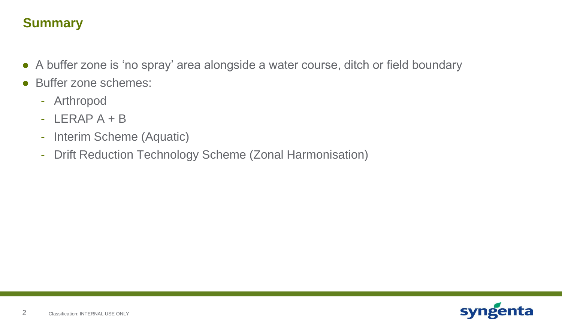# **Summary**

- A buffer zone is 'no spray' area alongside a water course, ditch or field boundary
- Buffer zone schemes:
	- Arthropod
	- $-$  LERAP  $A + B$
	- Interim Scheme (Aquatic)
	- Drift Reduction Technology Scheme (Zonal Harmonisation)

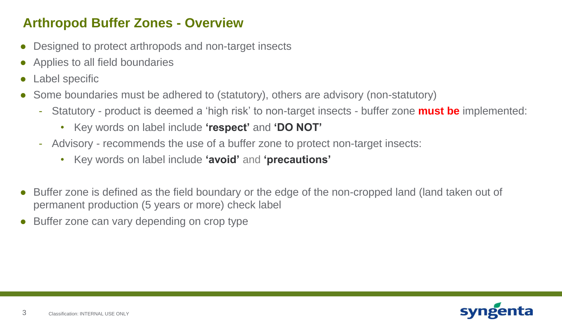## **Arthropod Buffer Zones - Overview**

- Designed to protect arthropods and non-target insects
- Applies to all field boundaries
- Label specific
- Some boundaries must be adhered to (statutory), others are advisory (non-statutory)
	- Statutory product is deemed a 'high risk' to non-target insects buffer zone **must be** implemented:
		- Key words on label include **'respect'** and **'DO NOT'**
	- Advisory recommends the use of a buffer zone to protect non-target insects:
		- Key words on label include **'avoid'** and **'precautions'**
- Buffer zone is defined as the field boundary or the edge of the non-cropped land (land taken out of permanent production (5 years or more) check label
- Buffer zone can vary depending on crop type

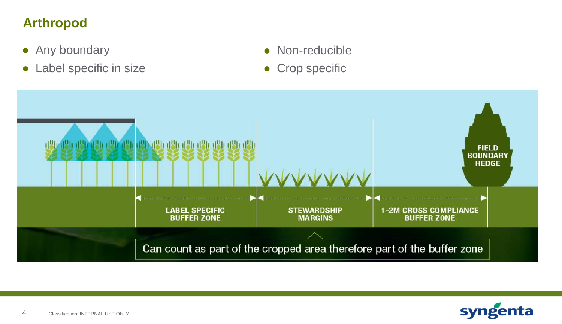# **Arthropod**

- Any boundary
- Label specific in size
- Non-reducible
- **Crop specific**



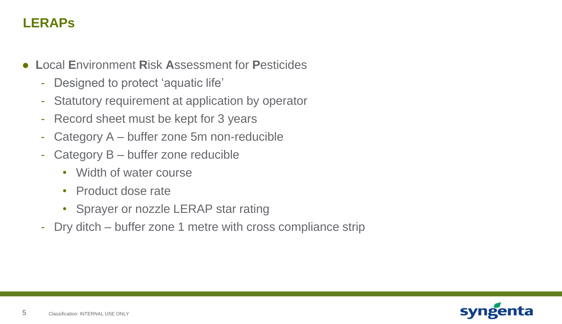## **LERAPs**

- **L**ocal **E**nvironment **R**isk **A**ssessment for **P**esticides
	- Designed to protect 'aquatic life'
	- Statutory requirement at application by operator
	- Record sheet must be kept for 3 years
	- Category A buffer zone 5m non-reducible
	- Category B buffer zone reducible
		- Width of water course
		- Product dose rate
		- Sprayer or nozzle LERAP star rating
	- Dry ditch buffer zone 1 metre with cross compliance strip

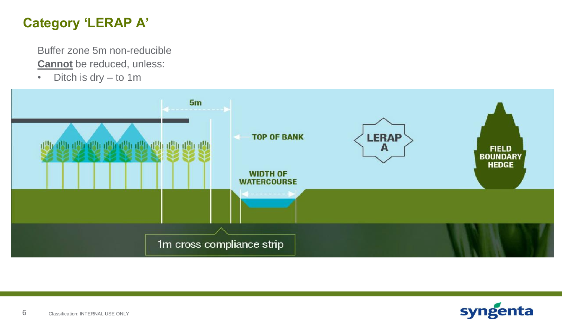# **Category 'LERAP A'**

Buffer zone 5m non-reducible **Cannot** be reduced, unless:

• Ditch is dry – to 1m



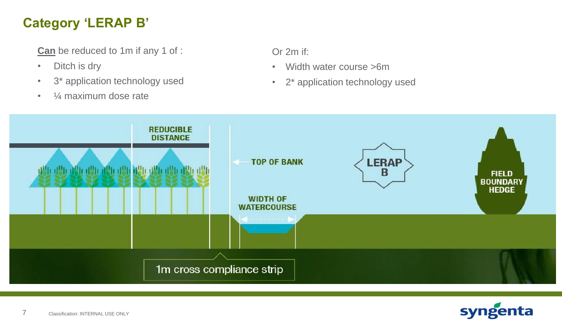# **Category 'LERAP B'**

**Can** be reduced to 1m if any 1 of :

- Ditch is dry
- 3\* application technology used
- 1⁄4 maximum dose rate

Or 2m if:

- Width water course >6m
- 2\* application technology used



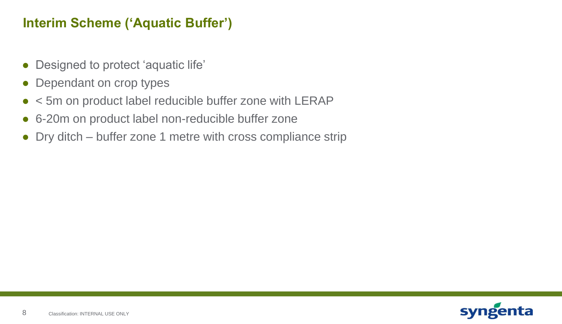#### **Interim Scheme ('Aquatic Buffer')**

- Designed to protect 'aquatic life'
- Dependant on crop types
- < 5m on product label reducible buffer zone with LERAP
- 6-20m on product label non-reducible buffer zone
- Dry ditch buffer zone 1 metre with cross compliance strip

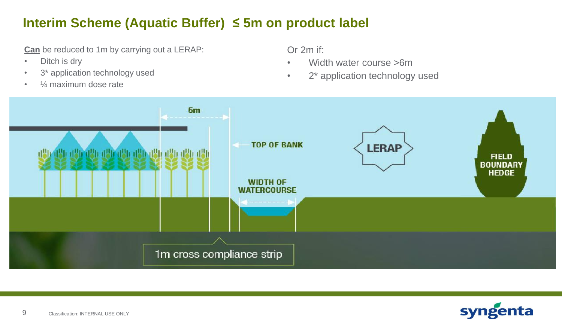## **Interim Scheme (Aquatic Buffer) ≤ 5m on product label**

**Can** be reduced to 1m by carrying out a LERAP:

- Ditch is dry
- 3<sup>\*</sup> application technology used
- $\frac{1}{4}$  maximum dose rate

Or 2m if:

- Width water course >6m
- 2<sup>\*</sup> application technology used



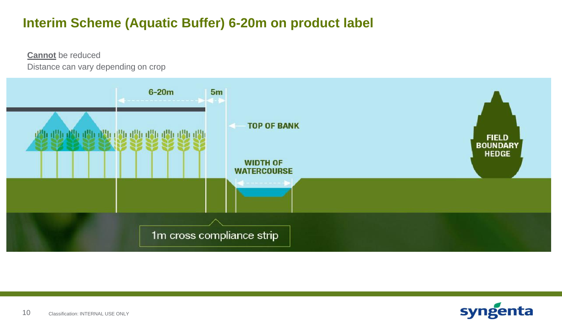## **Interim Scheme (Aquatic Buffer) 6-20m on product label**

**Cannot** be reduced Distance can vary depending on crop



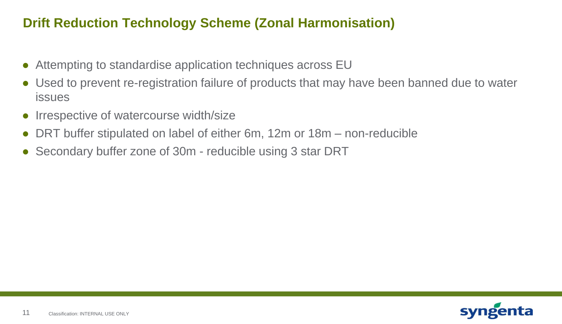## **Drift Reduction Technology Scheme (Zonal Harmonisation)**

- Attempting to standardise application techniques across EU
- Used to prevent re-registration failure of products that may have been banned due to water issues
- Irrespective of watercourse width/size
- DRT buffer stipulated on label of either 6m, 12m or 18m non-reducible
- Secondary buffer zone of 30m reducible using 3 star DRT

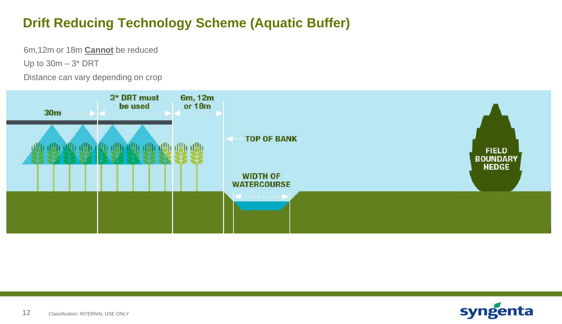# **Drift Reducing Technology Scheme (Aquatic Buffer)**

6m,12m or 18m **Cannot** be reduced

Up to  $30m - 3$ <sup>\*</sup> DRT

Distance can vary depending on crop